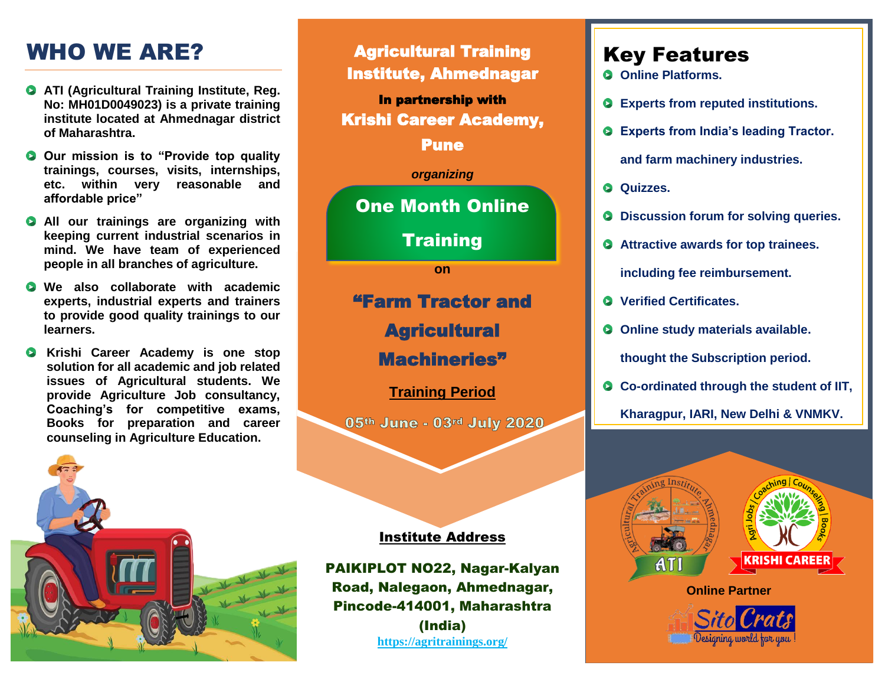# WHO WE ARE?

- **ATI (Agricultural Training Institute, Reg. No: MH01D0049023) is a private training institute located at Ahmednagar district of Maharashtra.**
- **O** Our mission is to "Provide top quality" **trainings, courses, visits, internships, etc. within very reasonable and affordable price"**
- **All our trainings are organizing with keeping current industrial scenarios in mind. We have team of experienced people in all branches of agriculture.**
- **We also collaborate with academic experts, industrial experts and trainers to provide good quality trainings to our learners.**
- **Krishi Career Academy is one stop solution for all academic and job related issues of Agricultural students. We provide Agriculture Job consultancy, Coaching's for competitive exams, Books for preparation and career counseling in Agriculture Education.**



Agricultural Training Institute, Ahmednagar In partnership with Krishi Career Academy, Pune *organizing* One Month Online **Training on** "Farm Tractor and **Agricultural** Machineries" **Training Period** 05th June - 03rd July 2020 Institute Address

PAIKIPLOT NO22, Nagar-Kalyan Road, Nalegaon, Ahmednagar, Pincode-414001, Maharashtra (India) **<https://agritrainings.org/>**

## Key Features

- **Online Platforms.**
- **Experts from reputed institutions.**
- **Experts from India's leading Tractor.**

**and farm machinery industries.**

- **Q** Quizzes.
- $\bullet$  Discussion forum for solving queries.
- **Attractive awards for top trainees. including fee reimbursement.**
- **Verified Certificates.**
- **O** Online study materials available.

**thought the Subscription period.**

- **Co-ordinated through the student of IIT,** 
	- **Kharagpur, IARI, New Delhi & VNMKV.**



Designing world for you